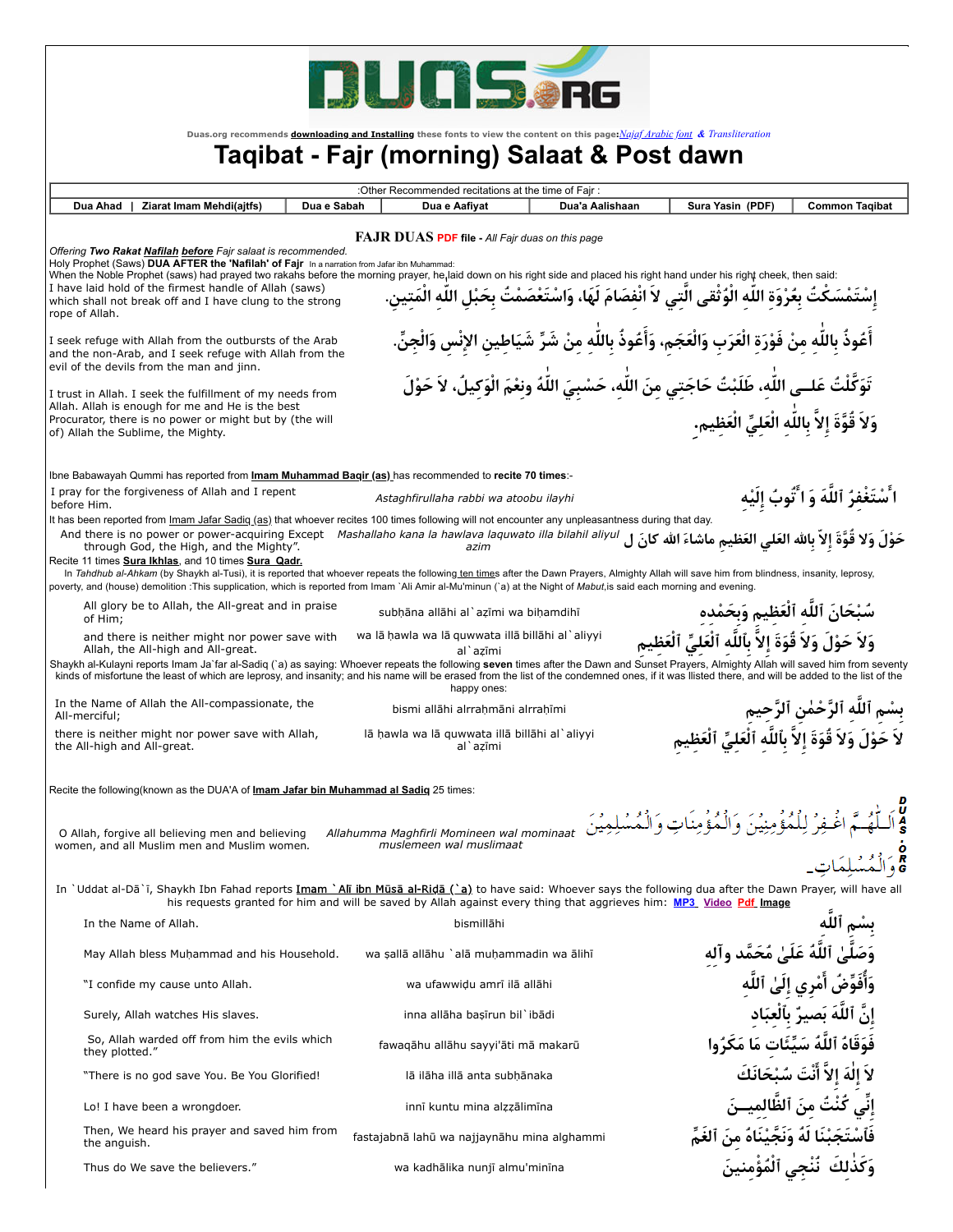

**Duas.org recommends [downloading and Installing](http://www.wikihow.com/Install-Fonts-on-Your-PC) these fonts to view the content on this page:***[Najaf Arabic font](http://duas.org/fonts/najafb.ttf) & [Transliteration](http://duas.org/fonts/TRANV___.TTF)*

## **Taqibat - Fajr (morning) Salaat & Post dawn**

| : Other Recommended recitations at the time of Fair:                                                                                                                                                                                                                                                                                                                                                                                                                                                                                                                                                                                                             |                                                                                                                                                                                                                                                                                                                                                                                                                             |             |                                                                                                                     |                                                                                                                   |                                                                                      |                                            |
|------------------------------------------------------------------------------------------------------------------------------------------------------------------------------------------------------------------------------------------------------------------------------------------------------------------------------------------------------------------------------------------------------------------------------------------------------------------------------------------------------------------------------------------------------------------------------------------------------------------------------------------------------------------|-----------------------------------------------------------------------------------------------------------------------------------------------------------------------------------------------------------------------------------------------------------------------------------------------------------------------------------------------------------------------------------------------------------------------------|-------------|---------------------------------------------------------------------------------------------------------------------|-------------------------------------------------------------------------------------------------------------------|--------------------------------------------------------------------------------------|--------------------------------------------|
| Dua Ahad                                                                                                                                                                                                                                                                                                                                                                                                                                                                                                                                                                                                                                                         | Ziarat Imam Mehdi(ajtfs)                                                                                                                                                                                                                                                                                                                                                                                                    | Dua e Sabah | Dua e Aafiyat                                                                                                       | Dua'a Aalishaan                                                                                                   | Sura Yasin (PDF)                                                                     | <b>Common Tagibat</b>                      |
| <b>FAJR DUAS PDF file - All Fair duas on this page</b><br>Offering Two Rakat Nafilah before Fajr salaat is recommended.<br>Holy Prophet (Saws) DUA AFTER the 'Nafilah' of Fair In a narration from Jafar ibn Muhammad:<br>When the Noble Prophet (saws) had prayed two rakahs before the morning prayer, he laid down on his right side and placed his right hand under his right cheek, then said:<br>I have laid hold of the firmest handle of Allah (saws)<br>إِسْتَمْسَكْتُ بِعُرْوَةِ اللّهِ الْوُثْقى الَّتِي لاَ انْفِصَامَ لَهَا، وَاسْتَعْصَمْتُ بِحَبْلِ اللّه الْمَتين.<br>which shall not break off and I have clung to the strong<br>rope of Allah. |                                                                                                                                                                                                                                                                                                                                                                                                                             |             |                                                                                                                     |                                                                                                                   |                                                                                      |                                            |
|                                                                                                                                                                                                                                                                                                                                                                                                                                                                                                                                                                                                                                                                  | I seek refuge with Allah from the outbursts of the Arab<br>and the non-Arab, and I seek refuge with Allah from the<br>evil of the devils from the man and jinn.                                                                                                                                                                                                                                                             |             |                                                                                                                     | أَعُوذُ بِاللَّهِ مِنْ فَوْرَةِ الْعَرَبِ وَالْعَجَمِ، وَأَعُوذُ بِاللَّهِ مِنْ شَرِّ شَيَاطِين الإِنْس وَالْجِنّ |                                                                                      |                                            |
|                                                                                                                                                                                                                                                                                                                                                                                                                                                                                                                                                                                                                                                                  | I trust in Allah. I seek the fulfillment of my needs from                                                                                                                                                                                                                                                                                                                                                                   |             |                                                                                                                     | تَوَكَّلْتُ عَلــى اللّهِ، طَلَبْتُ حَاجَتِي مِنَ اللّه، حَسْبِيَ اللّٰهُ ونعْمَ الْوَكيلُ، لاَ حَوْلَ            |                                                                                      |                                            |
|                                                                                                                                                                                                                                                                                                                                                                                                                                                                                                                                                                                                                                                                  | Allah. Allah is enough for me and He is the best<br>Procurator, there is no power or might but by (the will<br>of) Allah the Sublime, the Mighty.                                                                                                                                                                                                                                                                           |             |                                                                                                                     |                                                                                                                   | وَلاَ قُوَّةَ إلاَّ باللَّه الْعَليِّ الْعَظِيمِ.                                    |                                            |
|                                                                                                                                                                                                                                                                                                                                                                                                                                                                                                                                                                                                                                                                  | lbne Babawayah Qummi has reported from <b>Imam Muhammad Bagir (as)</b> has recommended to recite 70 times:-                                                                                                                                                                                                                                                                                                                 |             |                                                                                                                     |                                                                                                                   |                                                                                      |                                            |
|                                                                                                                                                                                                                                                                                                                                                                                                                                                                                                                                                                                                                                                                  | I pray for the forgiveness of Allah and I repent                                                                                                                                                                                                                                                                                                                                                                            |             | Astaghfirullaha rabbi wa atoobu ilayhi                                                                              |                                                                                                                   |                                                                                      | ا ُسْتَغْفِرُ ٱللَّهَ وَ ا َّتُوبُ إِلَيْه |
| before Him.                                                                                                                                                                                                                                                                                                                                                                                                                                                                                                                                                                                                                                                      | It has been reported from Imam Jafar Sadig (as) that whoever recites 100 times following will not encounter any unpleasantness during that day.<br>And there is no power or power-acquiring Except Mashallaho kana la hawlava laquwato illa bilahil aliyul<br>through God, the High, and the Mighty".                                                                                                                       |             | azim                                                                                                                |                                                                                                                   | حَوْلَ وَلا قُوَّةَ إلاّ بالله العَلى العَظيم ماشاءَ الله كانَ ل                     |                                            |
|                                                                                                                                                                                                                                                                                                                                                                                                                                                                                                                                                                                                                                                                  | Recite 11 times Sura Ikhlas, and 10 times Sura Qadr.<br>In Tahdhub al-Ahkam (by Shaykh al-Tusi), it is reported that whoever repeats the following ten times after the Dawn Prayers, Almighty Allah will save him from blindness, insanity, leprosy,<br>poverty, and (house) demolition :This supplication, which is reported from Imam `Ali Amir al-Mu'minun (`a) at the Night of Mabut, is said each morning and evening. |             |                                                                                                                     |                                                                                                                   |                                                                                      |                                            |
| of Him;                                                                                                                                                                                                                                                                                                                                                                                                                                                                                                                                                                                                                                                          | All glory be to Allah, the All-great and in praise                                                                                                                                                                                                                                                                                                                                                                          |             | subhāna allāhi al`azīmi wa bihamdihī                                                                                |                                                                                                                   | سُبْحَانَ ٱللَّه ٱلْعَظِيمِ وَبِحَمْده                                               |                                            |
|                                                                                                                                                                                                                                                                                                                                                                                                                                                                                                                                                                                                                                                                  | and there is neither might nor power save with<br>Allah, the All-high and All-great.                                                                                                                                                                                                                                                                                                                                        |             | wa lā hawla wa lā guwwata illā billāhi al`aliyyi                                                                    |                                                                                                                   | وَلاَ حَوْلَ وَلاَ قُوَةَ إلاَّ بِٱللَّه ٱلْعَلَىِّ ٱلْعَظيم                         |                                            |
|                                                                                                                                                                                                                                                                                                                                                                                                                                                                                                                                                                                                                                                                  | Shaykh al-Kulayni reports Imam Ja'far al-Sadiq ('a) as saying: Whoever repeats the following seven times after the Dawn and Sunset Prayers, Almighty Allah will saved him from seventy<br>kinds of misfortune the least of which are leprosy, and insanity; and his name will be erased from the list of the condemned ones, if it was llisted there, and will be added to the list of the                                  |             | al`azīmi<br>happy ones:                                                                                             |                                                                                                                   |                                                                                      |                                            |
| All-merciful;                                                                                                                                                                                                                                                                                                                                                                                                                                                                                                                                                                                                                                                    | In the Name of Allah the All-compassionate, the                                                                                                                                                                                                                                                                                                                                                                             |             | bismi allāhi alrrahmāni alrrahīmi                                                                                   |                                                                                                                   |                                                                                      | بسْم ٱللَّهِ ٱلرَّحْمٰنِ ٱلرَّحِيمِ        |
|                                                                                                                                                                                                                                                                                                                                                                                                                                                                                                                                                                                                                                                                  | there is neither might nor power save with Allah,<br>the All-high and All-great.                                                                                                                                                                                                                                                                                                                                            |             | lā hawla wa lā guwwata illā billāhi al`aliyyi<br>al`azīmi                                                           |                                                                                                                   | لاَ حَوْلَ وَلاَ قُوَةَ إلاَّ بِٱللَّه ٱلْعَلَىِّ ٱلْعَظيم                           |                                            |
|                                                                                                                                                                                                                                                                                                                                                                                                                                                                                                                                                                                                                                                                  | Recite the following (known as the DUA'A of <b>Imam Jafar bin Muhammad al Sadig</b> 25 times:                                                                                                                                                                                                                                                                                                                               |             |                                                                                                                     |                                                                                                                   |                                                                                      |                                            |
|                                                                                                                                                                                                                                                                                                                                                                                                                                                                                                                                                                                                                                                                  | O Allah, forgive all believing men and believing<br>women, and all Muslim men and Muslim women.                                                                                                                                                                                                                                                                                                                             |             | Allahumma Maghfirli Momineen wal mominaat<br>muslemeen wal muslimaat                                                |                                                                                                                   | اغْبِفِرْ لِلْمُؤْمِنِيْنَ وَالْمُؤْمِنَاتِ وَالْمُسْلِمِيْنَ                        | ىلمَات                                     |
|                                                                                                                                                                                                                                                                                                                                                                                                                                                                                                                                                                                                                                                                  | In 'Uddat al-Dā'ī, Shaykh Ibn Fahad reports Imam 'Alī ibn Mūsā al-Ridā ('a) to have said: Whoever says the following dua after the Dawn Prayer, will have all                                                                                                                                                                                                                                                               |             | his requests granted for him and will be saved by Allah against every thing that aggrieves him: MP3 Video Pdf Image |                                                                                                                   |                                                                                      |                                            |
|                                                                                                                                                                                                                                                                                                                                                                                                                                                                                                                                                                                                                                                                  | In the Name of Allah.                                                                                                                                                                                                                                                                                                                                                                                                       |             | bismillāhi                                                                                                          |                                                                                                                   |                                                                                      | بِسْمِ ٱللَّهِ                             |
|                                                                                                                                                                                                                                                                                                                                                                                                                                                                                                                                                                                                                                                                  | May Allah bless Muhammad and his Household.                                                                                                                                                                                                                                                                                                                                                                                 |             | wa sallā allāhu `alā muhammadin wa ālihī                                                                            |                                                                                                                   | وَصَلَّىٰ ٱللَّهُ عَلَىٰ مُحَمَّد وآلِهِ                                             |                                            |
|                                                                                                                                                                                                                                                                                                                                                                                                                                                                                                                                                                                                                                                                  | "I confide my cause unto Allah.                                                                                                                                                                                                                                                                                                                                                                                             |             | wa ufawwidu amrī ilā allāhi                                                                                         |                                                                                                                   |                                                                                      | وَأُفَوِّضُ أَمْرِي إِلَىٰ ٱللَّهِ         |
|                                                                                                                                                                                                                                                                                                                                                                                                                                                                                                                                                                                                                                                                  | Surely, Allah watches His slaves.                                                                                                                                                                                                                                                                                                                                                                                           |             | inna allāha basīrun bil`ibādi                                                                                       |                                                                                                                   |                                                                                      | إنَّ ٱللَّهَ بَصيرٌ بِٱلْعِبَادِ           |
|                                                                                                                                                                                                                                                                                                                                                                                                                                                                                                                                                                                                                                                                  | So, Allah warded off from him the evils which<br>they plotted."                                                                                                                                                                                                                                                                                                                                                             |             | fawaqāhu allāhu sayyi'āti mā makarū                                                                                 |                                                                                                                   | فَوَقَاهُ ٱللَّهُ سَيِّئَات مَا مَكَرُوا                                             |                                            |
|                                                                                                                                                                                                                                                                                                                                                                                                                                                                                                                                                                                                                                                                  | "There is no god save You. Be You Glorified!                                                                                                                                                                                                                                                                                                                                                                                |             | lā ilāha illā anta subhānaka                                                                                        |                                                                                                                   |                                                                                      | لاَ إِلٰهَ إِلاَّ أَنْتَ سُبْحَانَكَ       |
|                                                                                                                                                                                                                                                                                                                                                                                                                                                                                                                                                                                                                                                                  | Lo! I have been a wrongdoer.                                                                                                                                                                                                                                                                                                                                                                                                |             | innī kuntu mina alzzālimīna                                                                                         |                                                                                                                   |                                                                                      | إِنِّي كُنْتُ مِنَ ٱلظَّالِمِيــنَ         |
| the anguish.                                                                                                                                                                                                                                                                                                                                                                                                                                                                                                                                                                                                                                                     | Then, We heard his prayer and saved him from                                                                                                                                                                                                                                                                                                                                                                                |             | fastajabnā lahū wa najjaynāhu mina alghammi                                                                         |                                                                                                                   | فَٱسْتَجَبْنَا لَهُ وَنَجَّيْنَاهُ مِنَ ٱلغَمِّ<br>وَكَذٰلِكَ  نُنْجِي ٱلْمُؤْمِنينَ |                                            |
|                                                                                                                                                                                                                                                                                                                                                                                                                                                                                                                                                                                                                                                                  | Thus do We save the believers."                                                                                                                                                                                                                                                                                                                                                                                             |             | wa kadhālika nunjī almu'minīna                                                                                      |                                                                                                                   |                                                                                      |                                            |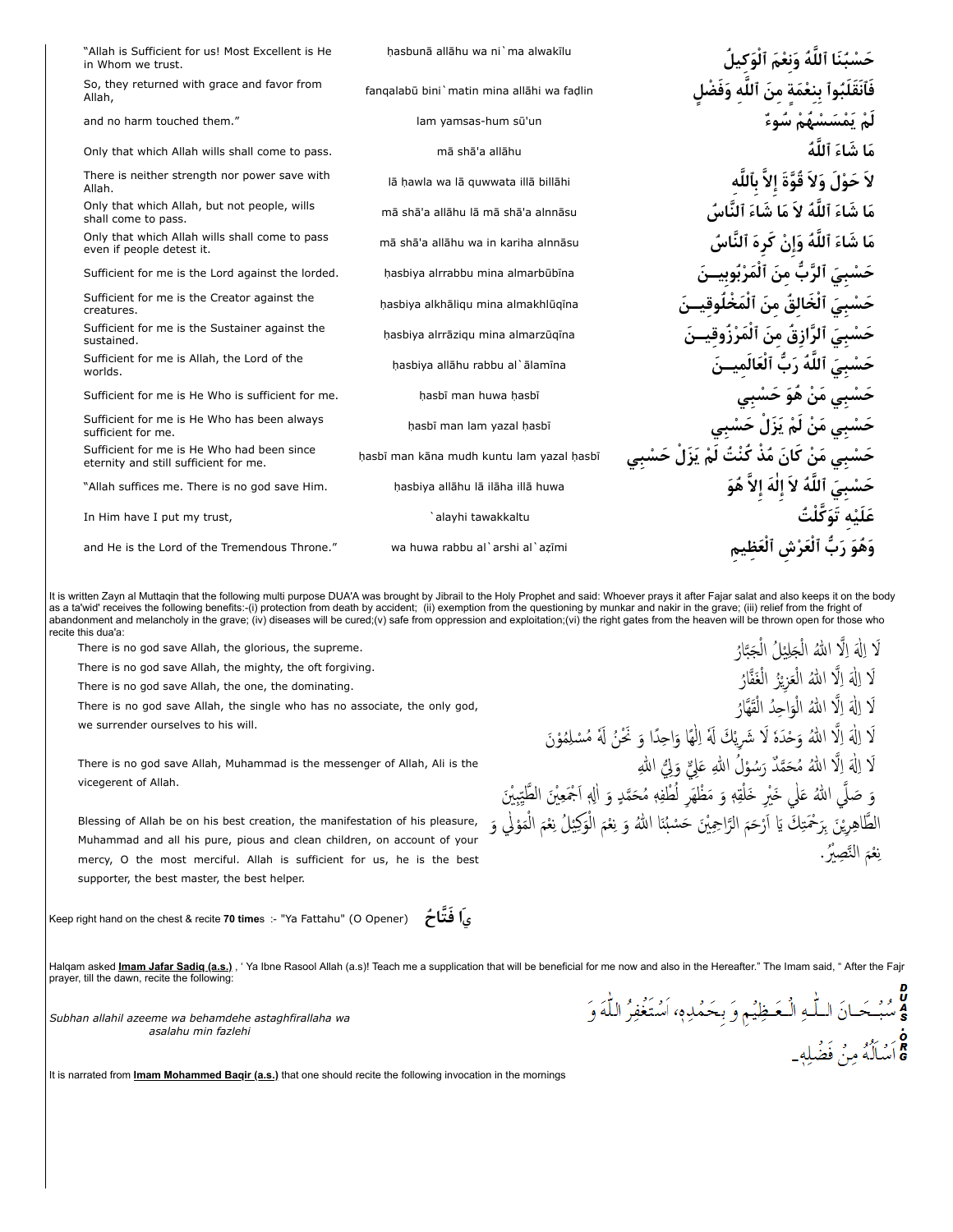| "Allah is Sufficient for us! Most Excellent is He<br>in Whom we trust.              | hasbunā allāhu wa ni`ma alwakīlu           | الله ونعم الو                            |
|-------------------------------------------------------------------------------------|--------------------------------------------|------------------------------------------|
| So, they returned with grace and favor from<br>Allah,                               | fangalabū bini`matin mina allāhi wa fadlin |                                          |
| and no harm touched them."                                                          | lam yamsas-hum sū'un                       | ل۾ تمسسهم سوء                            |
| Only that which Allah wills shall come to pass.                                     | mā shā'a allāhu                            | مَا شَاءَ ٱللَّهُ                        |
| There is neither strength nor power save with<br>Allah.                             | lā hawla wa lā guwwata illā billāhi        | ا ، ولا قوة                              |
| Only that which Allah, but not people, wills<br>shall come to pass.                 | mā shā'a allāhu lā mā shā'a alnnāsu        | مَا شَاءَ ٱللَّهُ لاَ مَا شَاءَ ٱلنَّاسُ |
| Only that which Allah wills shall come to pass<br>even if people detest it.         | mā shā'a allāhu wa in kariha alnnāsu       | لمَ ٱللَّهُ وَإِنْ كُرِهَ ٱلنَّاسُ       |
| Sufficient for me is the Lord against the lorded.                                   | hasbiya alrrabbu mina almarbūbīna          | حَسْبيَ ٱلرَّبِّ منَ اَلمَرْبَوب         |
| Sufficient for me is the Creator against the<br>creatures.                          | hasbiya alkhāliqu mina almakhlūqīna        | حَسْبِيَ ٱلْخَالِقَ مِنَ ٱلْمَخْـ        |
| Sufficient for me is the Sustainer against the<br>sustained.                        | hasbiya alrrāzigu mina almarzūgīna         | حَسْبيَ آلرّازق من المرزوق               |
| Sufficient for me is Allah, the Lord of the<br>worlds.                              | hasbiya allāhu rabbu al`ālamīna            | حَسْبِيَ ٱللَّهُ رَبٌّ ٱلْعَالَميــنَ    |
| Sufficient for me is He Who is sufficient for me.                                   | hasbī man huwa hasbī                       | حسبی مَنْ هُوَ حَسْبِي                   |
| Sufficient for me is He Who has been always<br>sufficient for me.                   | hasbī man lam yazal hasbī                  | حَسْبي مَن لمْ يزل حسبي                  |
| Sufficient for me is He Who had been since<br>eternity and still sufficient for me. | hasbī man kāna mudh kuntu lam yazal hasbī  | مَنْ كانَ مَذْ كَنْتَ لَمْ يَزَل         |
| "Allah suffices me. There is no god save Him.                                       | hasbiya allāhu lā ilāha illā huwa          | ٱللَّهُ لاَ إِلٰهَ إِلاَّ هُوَ           |
| In Him have I put my trust,                                                         | `alayhi tawakkaltu                         |                                          |
| and He is the Lord of the Tremendous Throne."                                       | wa huwa rabbu al`arshi al`azīmi            |                                          |
|                                                                                     |                                            |                                          |

It is written Zayn al Muttaqin that the following multi purpose DUA'A was brought by Jibrail to the Holy Prophet and said: Whoever prays it after Fajar salat and also keeps it on the body as a ta'wid' receives the following benefits:-(i) protection from death by accident; (ii) exemption from the questioning by munkar and nakir in the grave; (iii) relief from the fright of abandonment and melancholy in the grave; (iv) diseases will be cured;(v) safe from oppression and exploitation;(vi) the right gates from the heaven will be thrown open for those who recite this dua'a: لَا اِلَٰهَ اِلَّا اللهُ الْجَلِيْلُ الْجَبَّارُ<br>ِ اْ اُ

There is no god save Allah, the glorious, the supreme.

There is no god save Allah, the mighty, the oft forgiving.

There is no god save Allah, the one, the dominating.

There is no god save Allah, the single who has no associate, the only god,

we surrender ourselves to his will.

There is no god save Allah, Muhammad is the messenger of Allah, Ali is the vicegerent of Allah.

Blessing of Allah be on his best creation, the manifestation of his pleasure, Muhammad and all his pure, pious and clean children, on account of your mercy, O the most merciful. Allah is sufficient for us, he is the best supporter, the best master, the best helper.

Keep right hand on the chest & recite **70 time**s :- "Ya Fattahu" (O Opener) **اح ُ فَّتَ اَ<sup>ي</sup>**

Halqam asked [Imam Jafar Sadiq \(a.s.\)](http://www.maaref-foundation.com/english/library/pro_ahl/imam06_sadiq/imam_sadiq/index.htm), Ya Ibne Rasool Allah (a.s)! Teach me a supplication that will be beneficial for me now and also in the Hereafter." The Imam said, " After the Fajr prayer, till the dawn, recite the following:

اُ

یْ اُ

*Subhan allahil azeeme wa behamdehe astaghfirallaha wa asalahu min fazlehi*

It is narrated from **[Imam Mohammed Baqir \(a.s.\)](http://www.maaref-foundation.com/english/library/pro_ahl/imam05_baqir/imam_baqir/index.htm)** that one should recite the following invocation in the mornings

ة<br>وسُبْحَانَ اللّٰهِ الْمَظِيْمِ وَ بِحَمْدِهِ، اَسْتَغْفِرُ اللّٰهَ وَ ة<br>& اَسْلُلُهُ مِنۡ فَضۡلِهٖ۔

یْ

اْ

اْ

َ لَا اِلٰهَ إِلَّا اللهُ مُحَمَّدٌ رَسُوْلُ اللهِ عَلِيٌّ وَلِيُّ اللهِ

َلَا اِلَٰهَ اِلَّا اللهُ وَحْدَهٔ لَا شَرِيْكَ لَهُ اِلْهَا وَاحِدًا وَ نَحْنُ لَهُ مُسْلِمُوْنَ

وَ صَلَّى اللهُ عَلٰي خَيْرِ خَلْقِهٖ وَ مَظْهَرِ لُطْفِهٖ مُحَمَّدٍ وَ اللهِ اَجْمَعِيْنَ الطَّيِّبِيْنَ الطَّاهِرِيْنَ بِرَحْمَتِكَ يَا اَرْحَمَ الرَّاحِمِيْنَ حَسْبُنَا اللهُ وَ نِعْمَ الْوَكِيْلُ نِعْمَ الْمَوْلِي وَ

َلَا اِلۡهَ اِلَّا اللهُ الْعَزِيْزُ الْغَفَّارُ

َلَا اِلَٰهَ اِلَّا اللهُ الْوَاحِدُ الْقَهَّارُ

نِعْمَ النَّصِيْرُ. ن

اْ

اُ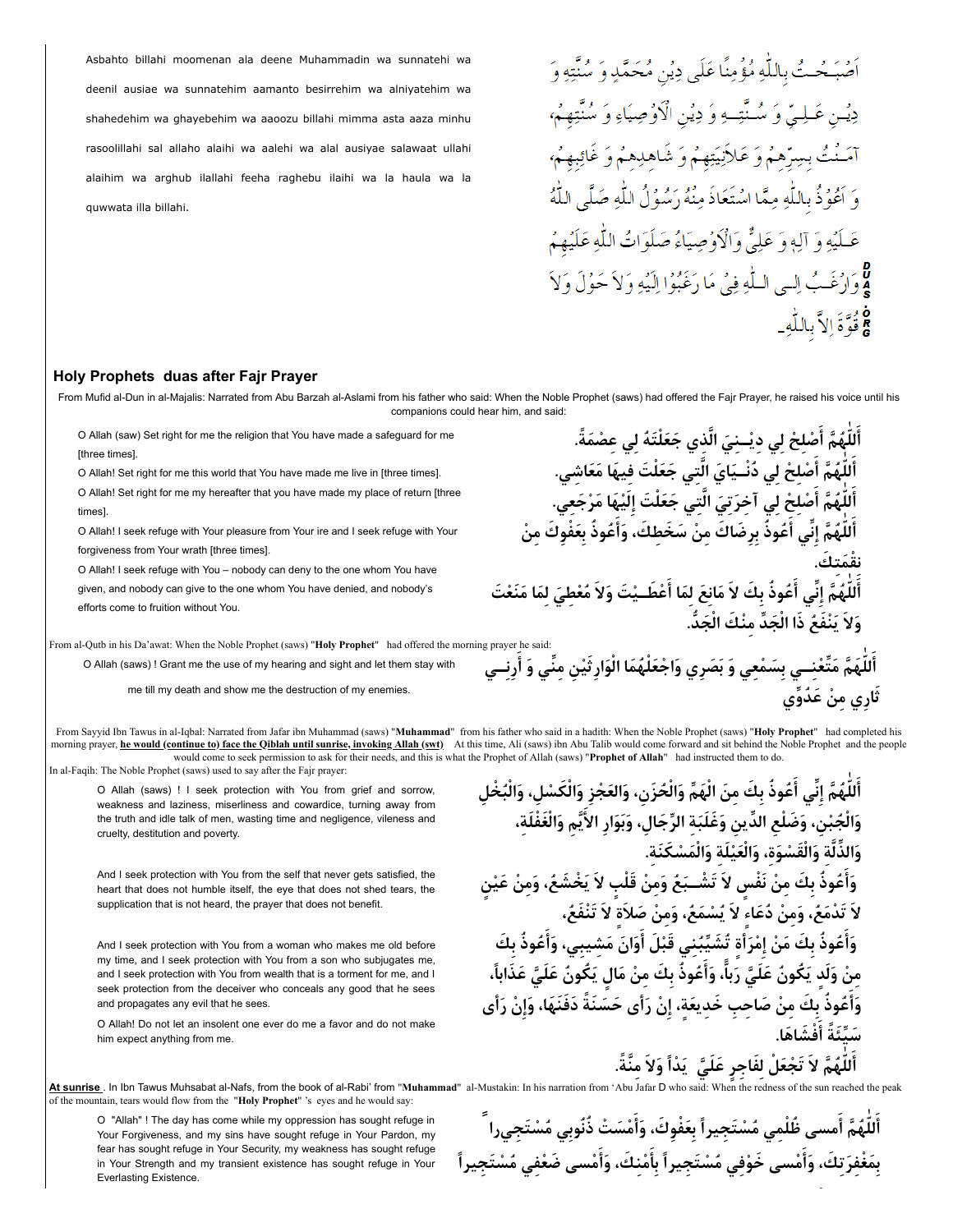Asbahto billahi moomenan ala deene Muhammadin wa sunnatehi wa deenil ausiae wa sunnatehim aamanto besirrehim wa alniyatehim wa shahedehim wa ghayebehim wa aaoozu billahi mimma asta aaza minhu rasoolillahi sal allaho alaihi wa aalehi wa alal ausiyae salawaat ullahi alaihim wa arghub ilallahi feeha raghebu ilaihi wa la haula wa la quwwata illa billahi.

## أَصْبَحْتُ بِاللَّهِ مُؤْمِنًا عَلَى دِيْنِ مُحَمَّدٍ وَ سُنَّتِهِ وَ دِيْنِ عَـلِيٌّ وَ سُـنَّتِـهِ وَ دِيْنِ الْأَوْصِيَاءِ وَ سُنَّتِهِمُ، آمَنْتُ بِسِرِّهِمْ وَ عَلاَنِيَتِهِمْ وَ شَاهلِهِمْ وَ غَائِبِهِمْ، وَ اَعُوُدُّ بِاللَّهِ مِمَّا اسْتَعَاذَ مِنْهُ رَسُوُلُ اللَّهِ صَلَّى اللَّهُ عَـلَيُهِ وَ آلِهٖ وَ عَلِيٌّ وَالْأَوْصِيَاءُ صَلَوَاتُ اللَّهِ عَلَيْهِمُ لا وَارْغَبُ إِلَـى الْبَلْهِ فِيُ مَا رَغَبُوْا إِلَيْهِ وَ لاَ حَوُلَ وَلاَ 8 وُوَّةَ إِلاَّ بِاللَّهِ\_

أَللّٰهُمَّ أَصْلِحْ لِي دِيْــنِيَ الَّذِي جَعَلْتَهُ لِي عِصْمَةً.

**نقْمَتِك.**<br>-

**َث ِار ِي م ْن َ ع ُدِّوي**

**د. ُّ َج َج ِّد ِ مْن َك الْ َو َلا َ يْنَف ُع َ ذا الْ**

أَللّٰهُمَّ أَصْلِحْ لِي دُنْــيَايَ الَّتِي جَعَلْتَ فِيهَا مَعَاشِي. ِ أَللّٰهُمَّ أَصْلِحْ لِي آخِرَتِيَ الَّتِي جَعَلْتَ إِلَيْهَا مَرْجَعِي<sup>ّ</sup>.

أَللَّهُمَّ إِنِّي أَعُوذُ بِرِضَاكَ مِنْ سَخَطِكَ، وَأَعُوذُ بِعَفْوِكَ مِنْ

أَللَّهُمَّ إِنِّي أَعُوذُ بِكَ لاَ مَانِعَ لِمَا أَعْطَــيْتَ وَلاَ مُعْطِيَ لِمَا مَنَعْتَ

## **Holy Prophets duas after Fajr Prayer**

From Mufid al-Dun in al-Majalis: Narrated from Abu Barzah al-Aslami from his father who said: When the Noble Prophet (saws) had offered the Fajr Prayer, he raised his voice until his companions could hear him, and said:

O Allah (saw) Set right for me the religion that You have made a safeguard for me [three times].

O Allah! Set right for me this world that You have made me live in [three times].

O Allah! Set right for me my hereafter that you have made my place of return [three times].

O Allah! I seek refuge with Your pleasure from Your ire and I seek refuge with Your forgiveness from Your wrath [three times].

O Allah! I seek refuge with You – nobody can deny to the one whom You have given, and nobody can give to the one whom You have denied, and nobody's efforts come to fruition without You.

From al-Qutb in his Da'awat: When the Noble Prophet (saws) "**Holy Prophet**" had offered the morning prayer he said: أَللَّهَمَّ مَتَّعْنِــي بِسَمْعِي وَ بَصَرِي وَاجْعَلْهُمَا الْوَارِثَيْنِ مِنِّي وَ أَرِنِــي

O Allah (saws) ! Grant me the use of my hearing and sight and let them stay with

me till my death and show me the destruction of my enemies.

From Sayyid Ibn Tawus in al-Iqbal: Narrated from Jafar ibn Muhammad (saws) "**Muhammad**" from his father who said in a hadith: When the Noble Prophet (saws) "**Holy Prophet**" had completed his morning prayer, he would (continue to) face the Qiblah until sunrise, invoking Allah (swt) At this time, Ali (saws) ibn Abu Talib would come forward and sit behind the Noble Prophet and the people would come to seek permission to ask for their needs, and this is what the Prophet of Allah (saws) "**Prophet of Allah**" had instructed them to do. In al-Faqih: The Noble Prophet (saws) used to say after the Fajr prayer:

O Allah (saws) ! I seek protection with You from grief and sorrow, weakness and laziness, miserliness and cowardice, turning away from the truth and idle talk of men, wasting time and negligence, vileness and cruelty, destitution and poverty.

And I seek protection with You from the self that never gets satisfied, the heart that does not humble itself, the eye that does not shed tears, the supplication that is not heard, the prayer that does not benefit.

And I seek protection with You from a woman who makes me old before my time, and I seek protection with You from a son who subjugates me, and I seek protection with You from wealth that is a torment for me, and I seek protection from the deceiver who conceals any good that he sees and propagates any evil that he sees.

O Allah! Do not let an insolent one ever do me a favor and do not make him expect anything from me.

أَللَّهُمَّ إِنِّي أَعُوذُ بِكَ مِنَ الْهَمِّ وَالْحُزَنِ، وَالعَجْزِ وَالْكَسْلِ، وَالْبُخْلِ وَالْجُبْنِ، وَضَلْعِ الدِّينِ وَغَلَبَةِ الرِّجَالِ، وَبَوَارِ الأَيَّمِ وَالْغَفْلَةِ، **َم ْس َكَنِة. َعْيَلِة َ والْ َو ِّ الذلَِّة َوالَْق ْسَوِة َ ، والْ** وَأَعُوذُ بِكَ مِنْ نَفْسٍ لاَ تَشْــبَعُ وَمِنْ قَلْبٍ لاَ يَخْشَعُ، وَمِنْ عَيْنِ **َلا َ ت ْدَم ُع، َوِم ْن ُ دَع ٍاء َ لا يُ ْسَم ُع َ ، وِم ْن َ ص َلاٍة َ لا َ تْنَف ُع،** وَأَعُوذُ بِكَ مَنْ إِمْرَأَةٍ تُشَيِّبُنِي قَبْلَ أَوَانَ مَشِيبِي، وَأَعُوذُ بِكَ مِنْ وَلَدٍ يَكُونُ عَلَيَّ رَبًّا، وَأَعُوذُ بِكَ مِنْ مَالٍ يَكُونُ عَلَيَّ عَذَاباً، وَأَعُوذُ بِكَ مِنْ صَاحِبِ خَدِيعَةٍ، إِنْ رَأَى حَسَنَةً دَفَنَهَا، وَإِنْ رَأَى **ْف َش َاها. َ َسِّيَئًة أ** اَّللَّهُمَّ لاَ تَجْعَلْ لِفَاجِرٍ عَلَيَّ ۖ يَدْاً وَلاَ مِنَّةً.

**At sunrise** . In Ibn Tawus Muhsabat al-Nafs, from the book of al-Rabi' from "**Muhammad**" al-Mustakin: In his narration from 'Abu Jafar D who said: When the redness of the sun reached the peak of the mountain, tears would flow from the "**Holy Prophet**" 's eyes and he would say:

O "Allah" ! The day has come while my oppression has sought refuge in Your Forgiveness, and my sins have sought refuge in Your Pardon, my fear has sought refuge in Your Security, my weakness has sought refuge in Your Strength and my transient existence has sought refuge in Your Everlasting Existence.

أَللَّهُمَّ أَمسى ظُلْمِي مُسْتَجِيراً بِعَفْوِكَ، وَأَمْسَتْ ذُنُوبِي مُسْتَجِيرا ۖ بِمَغْفِرَتِكَ، وَأَمْسى خَوْفِي مُسْتَجِيراً بِأَمْنِكَ، وَأَمْسى ضَعْفِي مُسْتَجِيراً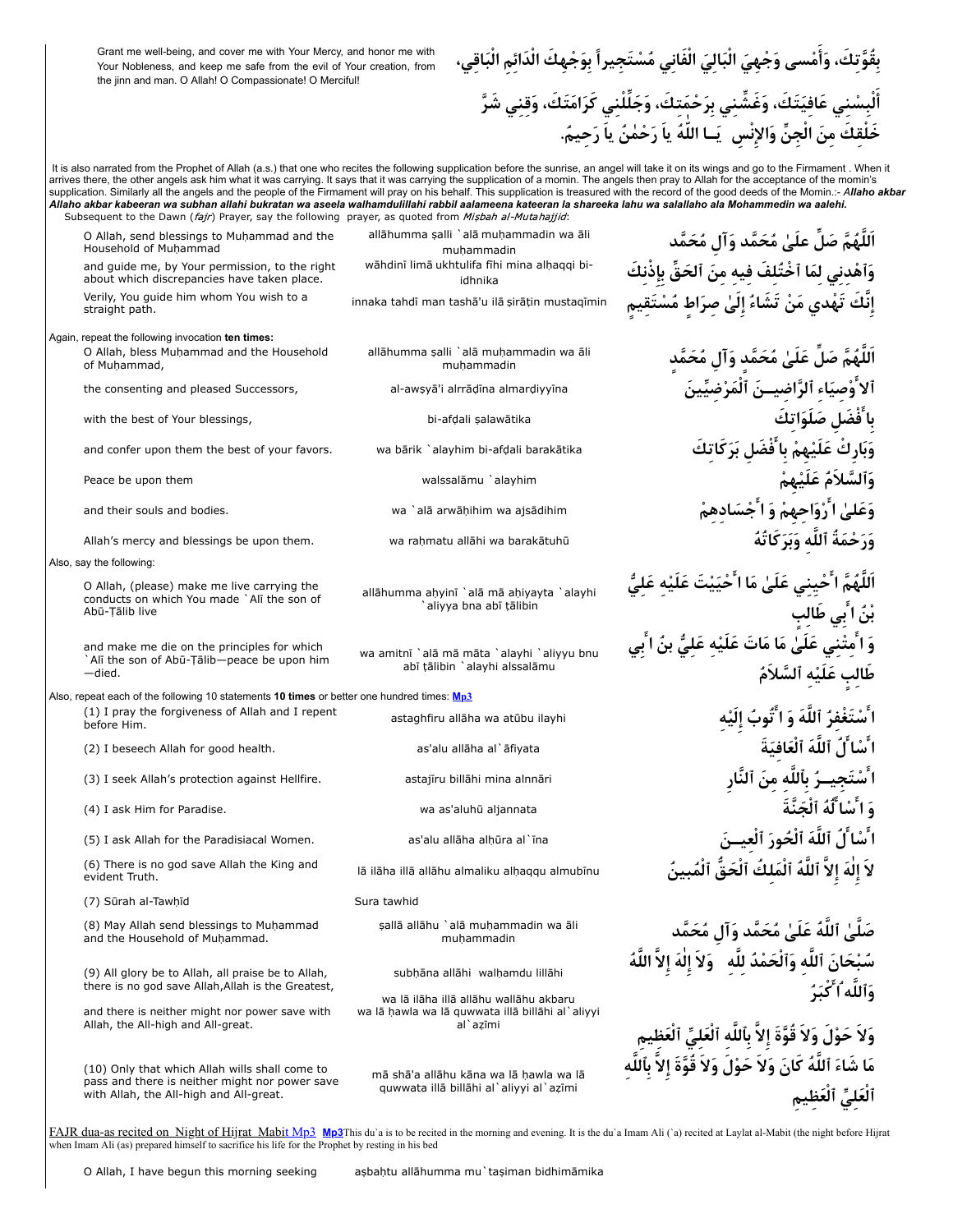Grant me well-being, and cover me with Your Mercy, and honor me with Your Nobleness, and keep me safe from the evil of Your creation, from the jinn and man. O Allah! O Compassionate! O Merciful!

بِقُوَّتِكَ، وَأَمْسى وَجْهِيَ الْبَالِيَ الْفَانِي مُسْتَجِيراً بِوَجْهِكَ الْدَائِمِ الْبَاقِي، أَلْبِسْنِي عَافِيَتَكَ، وَغَشِّنِي بِرَحْمَتِكَ، وَجَلِّلْنِي كَرَامَتَكَ، وَقِنِي شَرَّ خَلْقِكَ مِنَ الْجِنِّ وَالإِنْسِ ۚ يَــا اللّٰهُ ياَ رَحْمٰنُ ياَ رَحِيمٌ.

It is also narrated from the Prophet of Allah (a.s.) that one who recites the following supplication before the sunrise, an angel will take it on its wings and go to the Firmament . When it arrives there, the other angels ask him what it was carrying. It says that it was carrying the supplication of a momin. The angels then pray to Allah for the acceptance of the momin's supplication. Similarly all the angels and the people of the Firmament will pray on his behalf. This supplication is treasured with the record of the good deeds of the Momin.:- *Allaho akbar Allaho akbar kabeeran wa subhan allahi bukratan wa aseela walhamdulillahi rabbil aalameena kateeran la shareeka lahu wa salallaho ala Mohammedin wa aalehi.*

| Subsequent to the Dawn (fajr) Prayer, say the following prayer, as quoted from Misbah al-Mutahajjid:                                        |                                                                                   |                                                                                                                                                               |
|---------------------------------------------------------------------------------------------------------------------------------------------|-----------------------------------------------------------------------------------|---------------------------------------------------------------------------------------------------------------------------------------------------------------|
| O Allah, send blessings to Muhammad and the<br>Household of Muhammad                                                                        | allāhumma salli `alā muḥammadin wa āli<br>muhammadin                              | اَللَّهُمَّ صَلِّ علَىٰ مُحَمَّد وَآل مُحَمَّد                                                                                                                |
| and guide me, by Your permission, to the right<br>about which discrepancies have taken place.                                               | wāhdinī limā ukhtulifa fīhi mina alhaqqi bi-<br>idhnika                           | وَٱهْدنى لمَا ٱخْتُلفَ فيه منَ ٱلحَقِّ بإذْنكَ                                                                                                                |
| Verily, You guide him whom You wish to a<br>straight path.                                                                                  | innaka tahdī man tashā'u ilā sirātin mustagīmin                                   | إنَّك تَهْدي مَنْ تَشَاءُ إلىٰ صرَاط مُسْتَق                                                                                                                  |
| Again, repeat the following invocation ten times:<br>O Allah, bless Muhammad and the Household<br>of Muhammad,                              | allāhumma salli `alā muḥammadin wa āli<br>muhammadin                              | اَللَّهُمَّ صَلَّ عَلَىٰ مُحَمَّدٍ وَآل مُحَمَّدٍ                                                                                                             |
| the consenting and pleased Successors,                                                                                                      | al-awşyā'i alrrādīna almardiyyīna                                                 | ٱلاَوْصيَاء ٱلرَّاضِيــنَ ٱلْمَرْضيِّينَ                                                                                                                      |
| with the best of Your blessings,                                                                                                            | bi-afdali şalawātika                                                              | با َفْضَل صَلَوَاتكَ                                                                                                                                          |
| and confer upon them the best of your favors.                                                                                               | wa bārik `alayhim bi-afdali barakātika                                            | وَبَارِكَ عَلَيْهِمْ بِا َفْضَلِ بَرَكَاتِكَ                                                                                                                  |
| Peace be upon them                                                                                                                          | walssalāmu `alayhim                                                               | وَٱلسَّلامُ عَلَيْهِمْ                                                                                                                                        |
| and their souls and bodies.                                                                                                                 | wa `alā arwāḥihim wa ajsādihim                                                    | وَعَلَىٰ ا َرْوَاحِهِمْ وَ ا َجْسَادهمْ                                                                                                                       |
| Allah's mercy and blessings be upon them.                                                                                                   | wa rahmatu allāhi wa barakātuhū                                                   | وَرَحْمَةُ ٱللَّه وَبَرَكَاتُهُ                                                                                                                               |
| Also, say the following:                                                                                                                    |                                                                                   |                                                                                                                                                               |
| O Allah, (please) make me live carrying the<br>conducts on which You made `Alī the son of<br>Abū-Tālib live                                 | allāhumma ahyinī `alā mā ahiyayta `alayhi<br>`aliyya bna abī tālibin              | اَللّهُمَّ ا ُحْيِنِي عَلَىٰ مَا ا ُحْيَيْتَ عَلَيْه عَا<br>بْنُ ا ٗبِي طَالب                                                                                 |
| and make me die on the principles for which<br>`Alī the son of Abū-Tālib-peace be upon him<br>-died.                                        | wa amitni `alā mā māta `alayhi `aliyyu bnu<br>abī tālibin `alayhi alssalāmu       | وَ ا ُمتْنى عَلَىٰ مَا مَاتَ عَلَيْه عَلَىٌّ بنُ ا بَى<br>طالِبِ عَلَيْهِ ٱلسَّلاَمُ                                                                          |
| Also, repeat each of the following 10 statements 10 times or better one hundred times: $Mp3$                                                |                                                                                   |                                                                                                                                                               |
| (1) I pray the forgiveness of Allah and I repent<br>before Him.                                                                             | astaghfiru allāha wa atūbu ilayhi                                                 | مْفَرٌ ٱللَّهَ وَ اتَّوِبُ إِ                                                                                                                                 |
| (2) I beseech Allah for good health.                                                                                                        | as'alu allāha al`āfiyata                                                          | َّا)ُ، ٱللَّهَ ٱلْعَافِيَةَ                                                                                                                                   |
| (3) I seek Allah's protection against Hellfire.                                                                                             | astajīru billāhi mina alnnāri                                                     | ـرٌ بآلله منَ ٱلنَّار                                                                                                                                         |
| (4) I ask Him for Paradise.                                                                                                                 | wa as'aluhū aljannata                                                             | وَ ا ُسْا لَّهُ ٱلْجَنَّةَ                                                                                                                                    |
| (5) I ask Allah for the Paradisiacal Women.                                                                                                 | as'alu allāha alhūra al`īna                                                       | اً ُ، ٱللّهَ ٱلْحُورَ ٱلع <b>ي</b>                                                                                                                            |
| (6) There is no god save Allah the King and<br>evident Truth.                                                                               | lā ilāha illā allāhu almaliku alhaggu almubīnu                                    | لا إلهَ إلا ٱللهَ ٱلمَلكَ ٱلحَقَّ                                                                                                                             |
| (7) Sūrah al-Tawḥīd                                                                                                                         | Sura tawhid                                                                       |                                                                                                                                                               |
| (8) May Allah send blessings to Muhammad<br>and the Household of Muhammad.                                                                  | sallā allāhu `alā muhammadin wa āli<br>muhammadin                                 | صَلَّىٰ ٱللَّهُ عَلَىٰ مُحَمَّد وَآلِ مُحَمَّد<br>سُبْحَانَ ٱللَّهِ وَٱلْحَمْدُ لِلَّهِ ۖ وَلاَ إِلٰهَ إِلاَّ اللَّهُ                                         |
|                                                                                                                                             |                                                                                   |                                                                                                                                                               |
| (9) All glory be to Allah, all praise be to Allah,<br>there is no god save Allah, Allah is the Greatest,                                    | subhāna allāhi walhamdu lillāhi<br>wa lā ilāha illā allāhu wallāhu akbaru         | وَٱللَّه ٱ كْبَرُ                                                                                                                                             |
| and there is neither might nor power save with<br>Allah, the All-high and All-great.                                                        | wa lā hawla wa lā guwwata illā billāhi al`aliyyi<br>al`azīmi                      |                                                                                                                                                               |
|                                                                                                                                             |                                                                                   |                                                                                                                                                               |
| (10) Only that which Allah wills shall come to<br>pass and there is neither might nor power save<br>with Allah, the All-high and All-great. | mā shā'a allāhu kāna wa lā hawla wa lā<br>quwwata illā billāhi al`aliyyi al`azīmi | وَلاَ حَوْلَ وَلاَ قُوَّةَ إِلاَّ بِٱللَّهِ ٱلْعَلِيِّ ٱلْعَظِيمِ<br>مَا شَاءَ ٱللَّهُ كَانَ وَلاَ حَوْلَ وَلاَ قُوَّةَ إِلاَّ بِٱللَّ<br>ٱلْعَلَىِّ ٱلْعَظيم |
|                                                                                                                                             |                                                                                   |                                                                                                                                                               |

[FAJR dua-as recited on Night of Hijrat Mabit Mp3](http://www.duas.org/mp3/after%20obligatory/fajrmabit.mp3) [Mp3](http://www.duas.org/mp3/after%20obligatory/fajr_asbahtu.mp3)This du`a is to be recited in the morning and evening. It is the du`a Imam Ali (`a) recited at Laylat al-Mabit (the night before Hijrat when Imam Ali (as) prepared himself to sacrifice his life for the Prophet by resting in his bed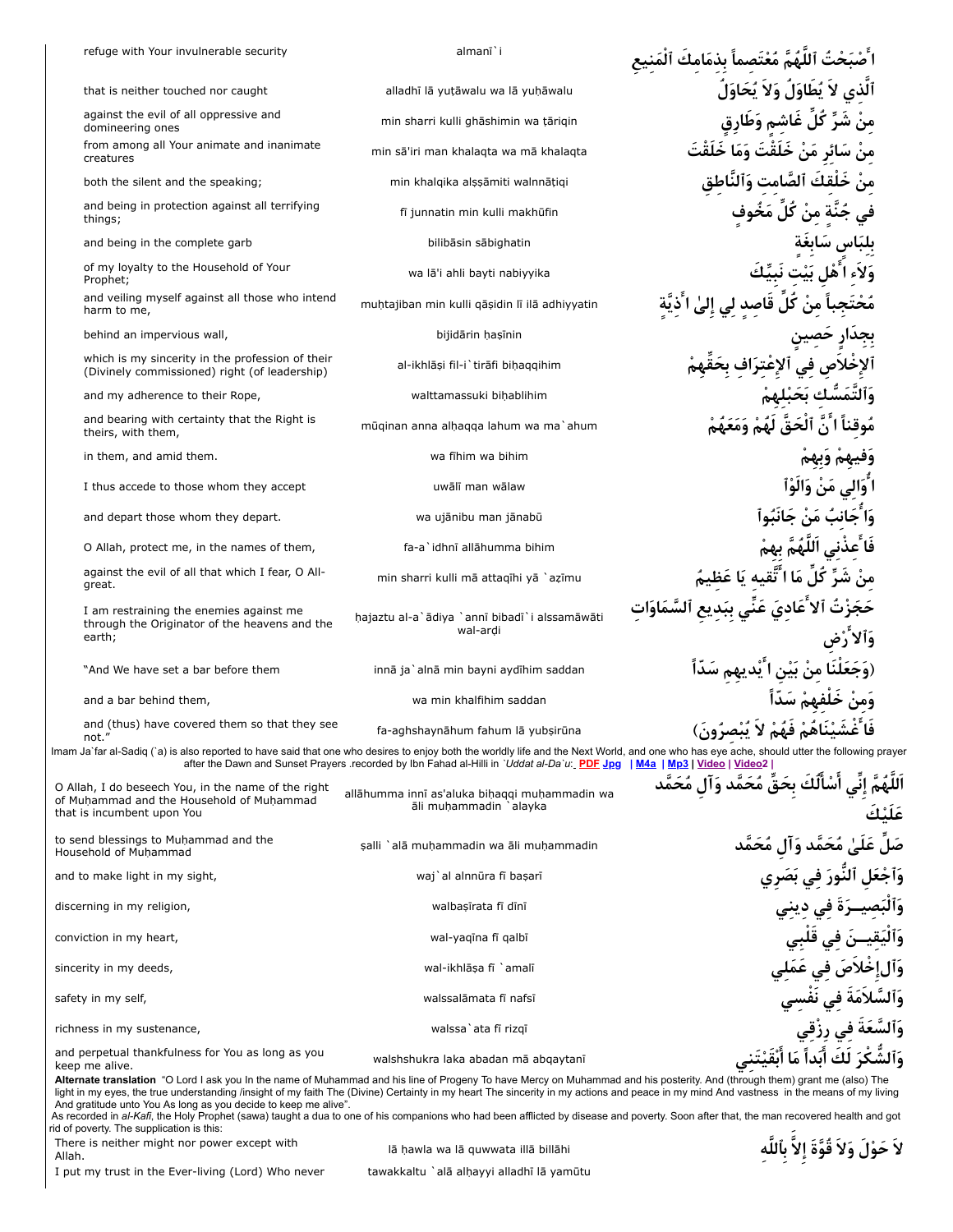|        | refuge with Your invulnerable security                                                                                         | almanī`i                                                                                                                                                                                                                                                                                                                                                                | اللهم معتصما بذمامك آله                                                                                                                                                                                                     |
|--------|--------------------------------------------------------------------------------------------------------------------------------|-------------------------------------------------------------------------------------------------------------------------------------------------------------------------------------------------------------------------------------------------------------------------------------------------------------------------------------------------------------------------|-----------------------------------------------------------------------------------------------------------------------------------------------------------------------------------------------------------------------------|
|        | that is neither touched nor caught                                                                                             | alladhī lā yutāwalu wa lā yuḥāwalu                                                                                                                                                                                                                                                                                                                                      | أَلَّذى لاَ يُطَاوَلُ وَلاَ يُحَاوَلُ                                                                                                                                                                                       |
|        | against the evil of all oppressive and<br>domineering ones                                                                     | min sharri kulli ghāshimin wa tārigin                                                                                                                                                                                                                                                                                                                                   | شَرِّ كُلِّ غَاشم وَطَارِق                                                                                                                                                                                                  |
|        | from among all Your animate and inanimate<br>creatures                                                                         | min sā'iri man khalagta wa mā khalagta                                                                                                                                                                                                                                                                                                                                  | سَائر مَنْ خَلَقْتَ وَمَا خَلَقْتَ                                                                                                                                                                                          |
|        | both the silent and the speaking;                                                                                              | min khalqika alşşāmiti walnnātiqi                                                                                                                                                                                                                                                                                                                                       | خلقك ألصّامت وَأَلنّاطق                                                                                                                                                                                                     |
|        | and being in protection against all terrifying<br>things;                                                                      | fi junnatin min kulli makhūfin                                                                                                                                                                                                                                                                                                                                          | جُنَّةٍ مِنْ كُلِّ مَخُوف                                                                                                                                                                                                   |
|        | and being in the complete garb                                                                                                 | bilibāsin sābighatin                                                                                                                                                                                                                                                                                                                                                    | بلباس سَابغة                                                                                                                                                                                                                |
|        | of my loyalty to the Household of Your<br>Prophet;                                                                             | wa lā'i ahli bayti nabiyyika                                                                                                                                                                                                                                                                                                                                            | وَلاَء ا أَهْل بَيْت نَبِيِّكَ                                                                                                                                                                                              |
|        | and veiling myself against all those who intend<br>harm to me,                                                                 | muhtajiban min kulli gāsidin lī ilā adhiyyatin                                                                                                                                                                                                                                                                                                                          | ہا منْ كل قاصد لي إليٰ ا                                                                                                                                                                                                    |
|        | behind an impervious wall,                                                                                                     | bijidārin haşīnin                                                                                                                                                                                                                                                                                                                                                       |                                                                                                                                                                                                                             |
|        | which is my sincerity in the profession of their<br>(Divinely commissioned) right (of leadership)                              | al-ikhlāși fil-i`tirāfi bihaqqihim                                                                                                                                                                                                                                                                                                                                      |                                                                                                                                                                                                                             |
|        | and my adherence to their Rope,                                                                                                | walttamassuki bihablihim                                                                                                                                                                                                                                                                                                                                                | وَٱلتَّمَسَّك بَحَبْلهمْ                                                                                                                                                                                                    |
|        | and bearing with certainty that the Right is<br>theirs, with them,                                                             | mūginan anna alhagga lahum wa ma`ahum                                                                                                                                                                                                                                                                                                                                   | مُوقناً ا َنَّ ٱلْحَقِّ لَهُمْ وَمَعَهُمْ                                                                                                                                                                                   |
|        | in them, and amid them.                                                                                                        | wa fihim wa bihim                                                                                                                                                                                                                                                                                                                                                       |                                                                                                                                                                                                                             |
|        | I thus accede to those whom they accept                                                                                        | uwālī man wālaw                                                                                                                                                                                                                                                                                                                                                         | ا ُوَالى مَنْ وَالَوْأ                                                                                                                                                                                                      |
|        | and depart those whom they depart.                                                                                             | wa ujānibu man jānabū                                                                                                                                                                                                                                                                                                                                                   | وَا جَانبُ مَنْ جَانَبُو                                                                                                                                                                                                    |
|        | O Allah, protect me, in the names of them,                                                                                     | fa-a`idhnī allāhumma bihim                                                                                                                                                                                                                                                                                                                                              | فَا ْعِذْنِي اَللَّهُمَّ بِهِمْ                                                                                                                                                                                             |
|        | against the evil of all that which I fear, O All-<br>great.                                                                    | min sharri kulli mā attagīhi yā `azīmu                                                                                                                                                                                                                                                                                                                                  | مَا اَ تَقيه يَا عَظ                                                                                                                                                                                                        |
|        | I am restraining the enemies against me<br>through the Originator of the heavens and the<br>earth;                             | hajaztu al-a`ādiya `annī bibadī`i alssamāwāti<br>wal-ardi                                                                                                                                                                                                                                                                                                               | عادی عنی ببَدیع                                                                                                                                                                                                             |
|        | "And We have set a bar before them                                                                                             | innā ja`alnā min bayni aydīhim saddan                                                                                                                                                                                                                                                                                                                                   | ً من بَيْنِ ا يَديهم سَدا                                                                                                                                                                                                   |
|        | and a bar behind them,                                                                                                         | wa min khalfihim saddan                                                                                                                                                                                                                                                                                                                                                 |                                                                                                                                                                                                                             |
|        | and (thus) have covered them so that they see<br>not."                                                                         | fa-aghshaynāhum fahum lā yubsirūna                                                                                                                                                                                                                                                                                                                                      | شَنْنَاهَمْ فَهَمَ لا يبص                                                                                                                                                                                                   |
|        |                                                                                                                                | after the Dawn and Sunset Prayers recorded by Ibn Fahad al-Hilli in 'Uddat al-Da'u: PDF Jpg                                                                                                                                                                                                                                                                             | Imam Ja`far al-Sadiq (`a) is also reported to have said that one who desires to enjoy both the worldly life and the Next World, and one who has eye ache, should utter the following prayer<br>  M4a   Mp3   Video   Video2 |
|        | O Allah, I do beseech You, in the name of the right<br>of Muhammad and the Household of Muhammad<br>that is incumbent upon You | allāhumma innī as'aluka bihaqqi muhammadin wa<br>āli muhammadin `alayka                                                                                                                                                                                                                                                                                                 | اَللَّهُمَّ إِنِّي أَسْأَلُكَ بِحَقِّ مُحَمَّد وَآل مُحَمَّد                                                                                                                                                                |
|        | to send blessings to Muhammad and the<br>Household of Muhammad                                                                 | salli `alā muhammadin wa āli muhammadin                                                                                                                                                                                                                                                                                                                                 | صَلِّ عَلَىٰ مُحَمَّد وَآلِ مُحَمَّد                                                                                                                                                                                        |
|        | and to make light in my sight,                                                                                                 | waj`al alnnūra fī başarī                                                                                                                                                                                                                                                                                                                                                | وَٱجْعَلِ ٱلنُّورَ فِي بَصَرِي                                                                                                                                                                                              |
|        | discerning in my religion,                                                                                                     | walbaşirata fi dini                                                                                                                                                                                                                                                                                                                                                     | وَٱلْبَصيــرَةَ في ديني                                                                                                                                                                                                     |
|        | conviction in my heart,                                                                                                        | wal-yaqina fi qalbi                                                                                                                                                                                                                                                                                                                                                     | وَٱلْيَقِيسَ في قَلْبِي                                                                                                                                                                                                     |
|        | sincerity in my deeds,                                                                                                         | wal-ikhlāṣa fī `amalī                                                                                                                                                                                                                                                                                                                                                   | وَٱل خْلاَصَ فِي عَمَلِي                                                                                                                                                                                                    |
|        | safety in my self,                                                                                                             | walssalāmata fī nafsī                                                                                                                                                                                                                                                                                                                                                   | وَٱلسَّلاَمَةَ فِي نَفْسِي                                                                                                                                                                                                  |
|        | richness in my sustenance,                                                                                                     | walssa`ata fi rizgī                                                                                                                                                                                                                                                                                                                                                     | وَٱلسَّعَةَ فِي رِزْقِي                                                                                                                                                                                                     |
|        | and perpetual thankfulness for You as long as you<br>keep me alive.                                                            | walshshukra laka abadan mā abqaytanī                                                                                                                                                                                                                                                                                                                                    | وَٱلشُّكْرَ لَكَ أَبَداً مَا أَبْقَيْتَنِي                                                                                                                                                                                  |
|        | And gratitude unto You As long as you decide to keep me alive".                                                                | Alternate translation "O Lord I ask you In the name of Muhammad and his line of Progeny To have Mercy on Muhammad and his posterity. And (through them) grant me (also) The<br>light in my eyes, the true understanding /insight of my faith The (Divine) Certainty in my heart The sincerity in my actions and peace in my mind And vastness in the means of my living |                                                                                                                                                                                                                             |
|        | rid of poverty. The supplication is this:                                                                                      | As recorded in al-Kafi, the Holy Prophet (sawa) taught a dua to one of his companions who had been afflicted by disease and poverty. Soon after that, the man recovered health and got                                                                                                                                                                                  |                                                                                                                                                                                                                             |
| Allah. | There is neither might nor power except with                                                                                   | lā hawla wa lā guwwata illā billāhi                                                                                                                                                                                                                                                                                                                                     | لاَ حَوْلَ وَلاَ قُوَّةَ إلاَّ بِٱللَّه                                                                                                                                                                                     |

I put my trust in the Ever-living (Lord) Who never tawakkaltu `alā alḥayyi alladhī lā yamūtu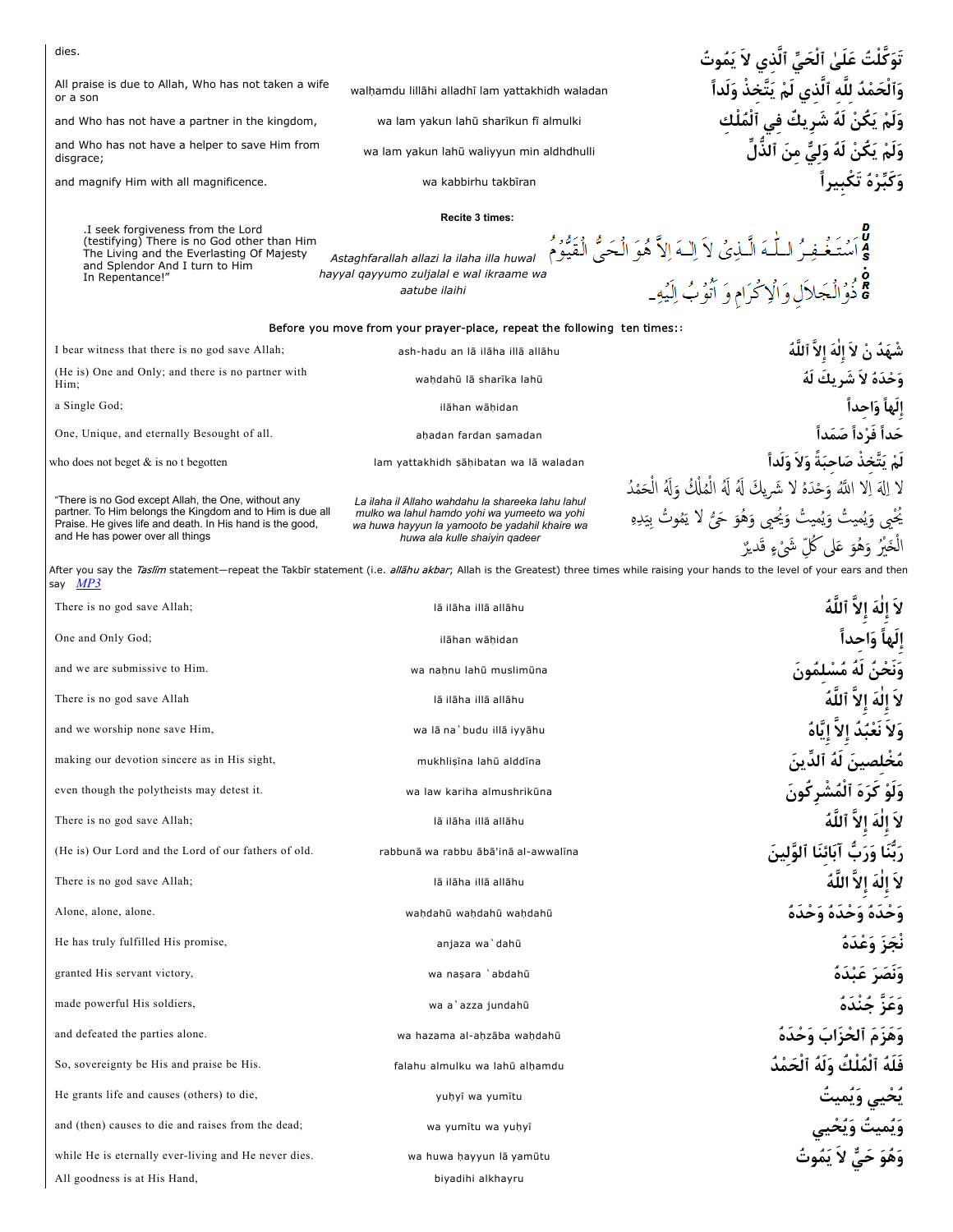| dies.                                                                                                                                                      |                                                                                                                                 | تَوَكَّلْتُ عَلَىٰ ٱلْحَيِّ ٱلَّذِي لاَ يَمُوتُ                                                                                                                                                  |
|------------------------------------------------------------------------------------------------------------------------------------------------------------|---------------------------------------------------------------------------------------------------------------------------------|--------------------------------------------------------------------------------------------------------------------------------------------------------------------------------------------------|
| All praise is due to Allah, Who has not taken a wife<br>or a son                                                                                           | walhamdu lillāhi alladhī lam yattakhidh waladan                                                                                 | وَٱلْحَمْدُ للَّه ٱلَّذى لَمْ يَتَّخذْ وَلَداً                                                                                                                                                   |
| and Who has not have a partner in the kingdom,                                                                                                             | wa lam yakun lahū sharīkun fī almulki                                                                                           | يَكُنْ لَهُ شَرِيكٌ في ٱلْمُلْك                                                                                                                                                                  |
| and Who has not have a helper to save Him from<br>disgrace;                                                                                                | wa lam yakun lahū waliyyun min aldhdhulli                                                                                       | وَلَمْ يَكُنْ لَهُ وَلِيٌّ مِنَ ٱلذَّلِّ                                                                                                                                                         |
| and magnify Him with all magnificence.                                                                                                                     | wa kabbirhu takbīran                                                                                                            | وَكَبِّرْهُ تَكْبِيراً                                                                                                                                                                           |
| .I seek forgiveness from the Lord                                                                                                                          | Recite 3 times:                                                                                                                 |                                                                                                                                                                                                  |
| (testifying) There is no God other than Him<br>The Living and the Everlasting Of Majesty<br>and Splendor And I turn to Him<br>In Repentance!"              | Astaghfarallah allazi la ilaha illa huwal<br>hayyal qayyumo zuljalal e wal ikraame wa<br>aatube ilaihi                          | لَّـٰهَ الَّـٰذِيُ لاَ اِلـٰهَ اِلاَّ هُوَ الْحَيُّ الْقَيُّومُ<br>ذُوْالْجَلاَل وَالْإِكْرَامِ وَ آتُوبُ اِلَيْهِ_                                                                              |
|                                                                                                                                                            | Before you move from your prayer-place, repeat the following ten times:                                                         |                                                                                                                                                                                                  |
| I bear witness that there is no god save Allah;                                                                                                            | ash-hadu an lā ilāha illā allāhu                                                                                                | شْهَدٌ نْ لاَ إِلٰهَ إِلاَّ ٱللَّهُ                                                                                                                                                              |
| (He is) One and Only; and there is no partner with<br>Him;                                                                                                 | wahdahū lā sharīka lahū                                                                                                         | وَحْدَهُ لاَ شَرِيكَ لَهُ                                                                                                                                                                        |
| a Single God;                                                                                                                                              | ilāhan wāhidan                                                                                                                  | إِلَهاً وَاحِداً                                                                                                                                                                                 |
| One, Unique, and eternally Besought of all.                                                                                                                | ahadan fardan samadan                                                                                                           | حَداً فَرْداً صَمَداً                                                                                                                                                                            |
| who does not beget $\&$ is no t begotten                                                                                                                   | lam yattakhidh sāhibatan wa lā waladan                                                                                          | لَمْ يَتَّخذْ صَاحبَةً وَلاَ وَلَداً                                                                                                                                                             |
| "There is no God except Allah, the One, without any                                                                                                        | La ilaha il Allaho wahdahu la shareeka lahu lahul                                                                               | لا إِلَهَ إِلاَّ اللَّهُ وَحْدَهُ لا شَرِيكَ لَهُ لَهُ الْمُلْكُ وَلَهُ الْحَمْدُ                                                                                                                |
| partner. To Him belongs the Kingdom and to Him is due all<br>Praise. He gives life and death. In His hand is the good,<br>and He has power over all things | mulko wa lahul hamdo yohi wa yumeeto wa yohi<br>wa huwa hayyun la yamooto be yadahil khaire wa<br>huwa ala kulle shaiyin qadeer | يُحْمِي وَيُميتُ وَيُميتُ وَيُحيى وَهُوَ حَيُّ لا يَمُوتُ بِيَدِهِ<br>الْخَيْرُ وَهُوَ عَلَى كُلِّ شَيْءٍ قَديرٌ                                                                                 |
| say <u>MP3</u>                                                                                                                                             |                                                                                                                                 | After you say the <i>Taslim</i> statement—repeat the Takbīr statement (i.e. <i>allāhu akbar</i> ; Allah is the Greatest) three times while raising your hands to the level of your ears and then |
| There is no god save Allah;                                                                                                                                | lā ilāha illā allāhu                                                                                                            | لا إلهَ إلاَّ ٱللَّهُ                                                                                                                                                                            |
| One and Only God;                                                                                                                                          | ilāhan wāhidan                                                                                                                  | إلها واحدأ                                                                                                                                                                                       |
| and we are submissive to Him.                                                                                                                              | wa nahnu lahū muslimūna                                                                                                         | <b>ئَ لَهُ مُسْلِمُونَ</b>                                                                                                                                                                       |
| There is no god save Allah                                                                                                                                 | lā ilāha illā allāhu                                                                                                            |                                                                                                                                                                                                  |
| and we worship none save Him,                                                                                                                              | wa lā na`budu illā iyyāhu                                                                                                       | وَلا نَعْبُدُ الا اتَّاهُ                                                                                                                                                                        |
| making our devotion sincere as in His sight,                                                                                                               | mukhlisīna lahū alddīna                                                                                                         | مُخْلِصينَ لَهُ ٱلدِّينَ                                                                                                                                                                         |
| even though the polytheists may detest it.                                                                                                                 | wa law kariha almushrikūna                                                                                                      | وَلَوْ كَرَهَ ٱلْمُشْرِكُونَ                                                                                                                                                                     |
| There is no god save Allah;                                                                                                                                | lā ilāha illā allāhu                                                                                                            | لاَ إِلٰهَ إِلاَّ ٱللَّهُ                                                                                                                                                                        |
| (He is) Our Lord and the Lord of our fathers of old.                                                                                                       | rabbunā wa rabbu ābā'inā al-awwalīna                                                                                            | رَبُّنَا وَرَبٌّ آبَائنَا ٱلوَّلينَ                                                                                                                                                              |
| There is no god save Allah;                                                                                                                                | lā ilāha illā allāhu                                                                                                            | لاَ إِلٰهَ إِلاَّ اللَّهُ                                                                                                                                                                        |
| Alone, alone, alone.                                                                                                                                       | wahdahū wahdahū wahdahū                                                                                                         | وَحْدَهُ وَحْدَهُ وَحْدَهُ                                                                                                                                                                       |
| He has truly fulfilled His promise,                                                                                                                        | anjaza wa`dahū                                                                                                                  | نْجَزَ وَعْدَهُ                                                                                                                                                                                  |
| granted His servant victory,                                                                                                                               | wa naşara `abdahū                                                                                                               | وَنَصَرَ عَبْدَهُ                                                                                                                                                                                |
| made powerful His soldiers,                                                                                                                                | wa a`azza jundahū                                                                                                               | وَعَزَّ جُنْدَهُ                                                                                                                                                                                 |
| and defeated the parties alone.                                                                                                                            | wa hazama al-ahzāba waḥdahū                                                                                                     | وَهَزَمَ ٱلْحُزَابَ وَحْدَهُ                                                                                                                                                                     |
| So, sovereignty be His and praise be His.                                                                                                                  | falahu almulku wa lahū alhamdu                                                                                                  | فَلَهُ ٱلْمُلْكُ وَلَهُ ٱلْحَمْدُ                                                                                                                                                                |
| He grants life and causes (others) to die,                                                                                                                 | yuhyi wa yumitu                                                                                                                 | يُحْيي وَيُميتُ                                                                                                                                                                                  |
| and (then) causes to die and raises from the dead;                                                                                                         | wa yumitu wa yuhyi                                                                                                              | وَيُميتُ وَيُحْيي<br>وَهُوَ حَيٌّ لاَ يَمُوتُ                                                                                                                                                    |
| while He is eternally ever-living and He never dies.                                                                                                       | wa huwa hayyun lā yamūtu                                                                                                        |                                                                                                                                                                                                  |
| All goodness is at His Hand,                                                                                                                               | biyadihi alkhayru                                                                                                               |                                                                                                                                                                                                  |